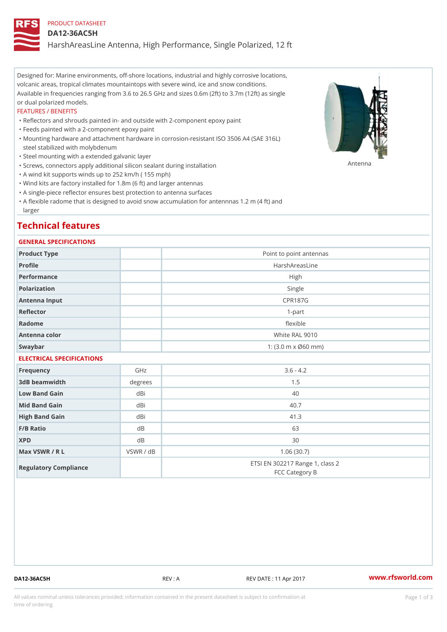# PRODUCT DATASHEET

### DA12-36AC5H

HarshAreasLine Antenna, High Performance, Single Polarized, 12 ft

Designed for: Marine environments, off-shore locations, industrial and highly corrosive locations, volcanic areas, tropical climates mountaintops with severe wind, ice and snow conditions. Available in frequencies ranging from 3.6 to 26.5 GHz and sizes 0.6m (2ft) to 3.7m (12ft) as single or dual polarized models.

## FEATURES / BENEFITS

"Reflectors and shrouds painted in- and outside with 2-component epoxy paint

- "Feeds painted with a 2-component epoxy paint
- Mounting hardware and attachment hardware in corrosion-resistant ISO 3506 A4 (SAE 316L) " steel stabilized with molybdenum
- "Steel mounting with a extended galvanic layer
- "Screws, connectors apply additional silicon sealant during installation Antenna
- "A wind kit supports winds up to 252 km/h ( 155 mph)
- "Wind kits are factory installed for 1.8m (6 ft) and larger antennas
- "A single-piece reflector ensures best protection to antenna surfaces
- "A flexible radome that is designed to avoid snow accumulation for antennnas 1.2 m (4 ft) and larger

# Technical features

## GENERAL SPECIFICATIONS

| Product Type              |                | Point to point antennas                                 |  |  |  |
|---------------------------|----------------|---------------------------------------------------------|--|--|--|
| Profile                   |                | HarshAreasLine                                          |  |  |  |
| Performance               |                | High                                                    |  |  |  |
| Polarization              |                | Single                                                  |  |  |  |
| Antenna Input             |                | <b>CPR187G</b>                                          |  |  |  |
| Reflector                 | $1 - p$ art    |                                                         |  |  |  |
| Radome                    | flexible       |                                                         |  |  |  |
| Antenna color             | White RAL 9010 |                                                         |  |  |  |
| Swaybar                   |                | 1: $(3.0 \, \text{m} \times \emptyset 60 \, \text{mm})$ |  |  |  |
| ELECTRICAL SPECIFICATIONS |                |                                                         |  |  |  |
| Frequency                 | GHz            | $3.6 - 4.2$                                             |  |  |  |
| 3dB beamwidth             | degrees        | 1.5                                                     |  |  |  |
| Low Band Gain             | dBi            | 40                                                      |  |  |  |
| Mid Band Gain             | dBi            | 40.7                                                    |  |  |  |
| High Band Gain            | dBi            | 41.3                                                    |  |  |  |
| $F/B$ Ratio               | d B            | 63                                                      |  |  |  |
| <b>XPD</b>                | d B            | 30                                                      |  |  |  |
| Max VSWR / R L            | VSWR / dB      | 1.06(30.7)                                              |  |  |  |
| Regulatory Compliance     |                | ETSI EN 302217 Range 1, class 2<br>FCC Category B       |  |  |  |

DA12-36AC5H REV : A REV DATE : 11 Apr 2017 [www.](https://www.rfsworld.com)rfsworld.com

All values nominal unless tolerances provided; information contained in the present datasheet is subject to Pcapgeign mation time of ordering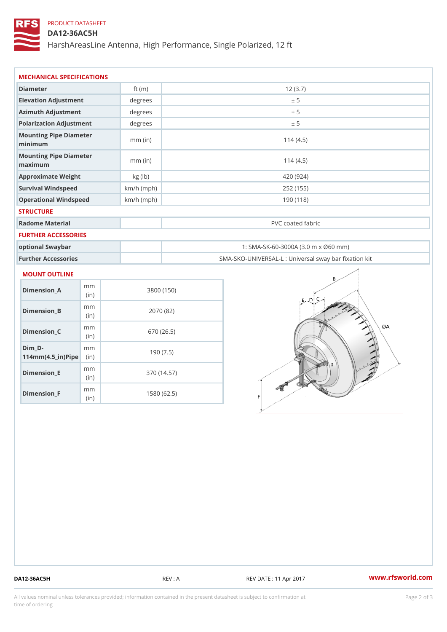# PRODUCT DATASHEET

# DA12-36AC5H

HarshAreasLine Antenna, High Performance, Single Polarized, 12 ft

| MECHANICAL SPECIFICATIONS         |              |                                                   |
|-----------------------------------|--------------|---------------------------------------------------|
| Diameter                          | ft $(m)$     | 12(3.7)                                           |
| Elevation Adjustment              | degree       | ± 5                                               |
| Azimuth Adjustment                | degree       | ± 5                                               |
| Polarization Adjustment           | degree       | ± 5                                               |
| Mounting Pipe Diameter<br>minima  | $mm$ (in)    | 114(4.5)                                          |
| Mounting Pipe Diameter<br>maximum | $mm$ (in)    | 114(4.5)                                          |
| Approximate Weight                | kg(lb)       | 420 (924)                                         |
| Survival Windspeed                | $km/h$ (mph) | 252 (155)                                         |
| Operational Windspeed             | $km/h$ (mph) | 190 (118)                                         |
| <b>STRUCTURE</b>                  |              |                                                   |
| Radome Material                   |              | PVC coated fabric                                 |
| FURTHER ACCESSORIES               |              |                                                   |
| optional Swaybar                  |              | 1: SMA-SK-60-3000A (3.0 m x Ø60 mm)               |
| Further Accessories               |              | SMA-SKO-UNIVERSAL-L : Universal sway bar fixation |

### MOUNT OUTLINE

| Dimension A                                            | m m<br>(in)              | 3800 (150)  |
|--------------------------------------------------------|--------------------------|-------------|
| Dimension_B                                            | m m<br>(i n)             | 2070 (82)   |
| Dimension C                                            | m m<br>(i <sub>n</sub> ) | 670 (26.5)  |
| $Dim_D - D -$<br>$114$ m m $(4.5$ in $)$ P ii p $\geq$ | m m                      | 190(7.5)    |
| Dimension E                                            | m m<br>(i n)             | 370 (14.57) |
| $Dimension_F$                                          | m m<br>(in               | 1580 (62.5) |

DA12-36AC5H REV : A REV DATE : 11 Apr 2017 [www.](https://www.rfsworld.com)rfsworld.com